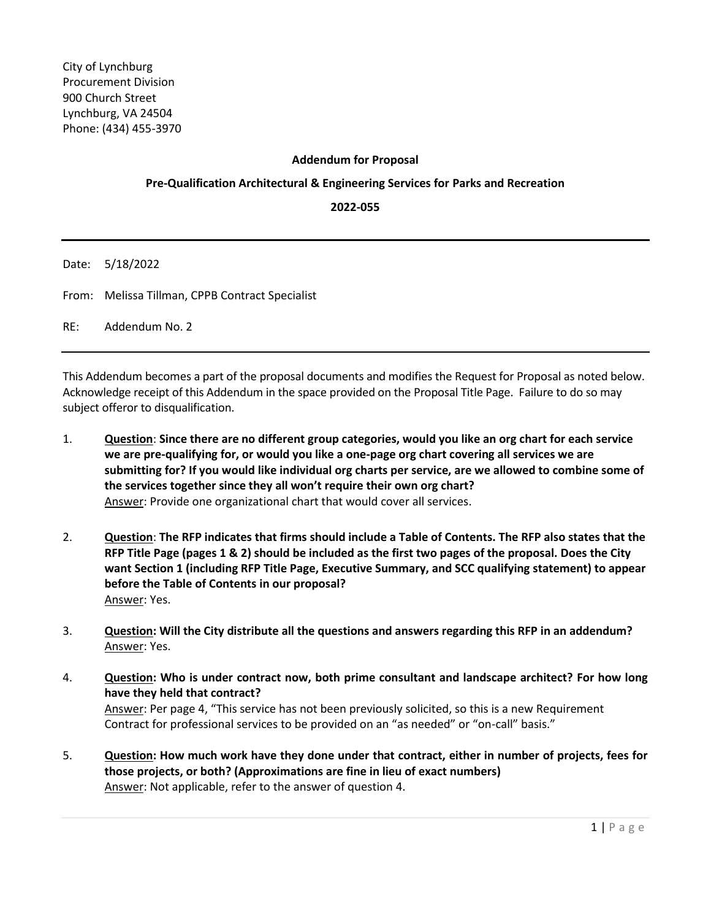## **Addendum for Proposal**

## **Pre-Qualification Architectural & Engineering Services for Parks and Recreation**

**2022-055**

Date: 5/18/2022

From: Melissa Tillman, CPPB Contract Specialist

RE: Addendum No. 2

This Addendum becomes a part of the proposal documents and modifies the Request for Proposal as noted below. Acknowledge receipt of this Addendum in the space provided on the Proposal Title Page. Failure to do so may subject offeror to disqualification.

- 1. **Question**: **Since there are no different group categories, would you like an org chart for each service we are pre-qualifying for, or would you like a one-page org chart covering all services we are submitting for? If you would like individual org charts per service, are we allowed to combine some of the services together since they all won't require their own org chart?** Answer: Provide one organizational chart that would cover all services.
- 2. **Question**: **The RFP indicates that firms should include a Table of Contents. The RFP also states that the RFP Title Page (pages 1 & 2) should be included as the first two pages of the proposal. Does the City want Section 1 (including RFP Title Page, Executive Summary, and SCC qualifying statement) to appear before the Table of Contents in our proposal?** Answer: Yes.
- 3. **Question: Will the City distribute all the questions and answers regarding this RFP in an addendum?** Answer: Yes.
- 4. **Question: Who is under contract now, both prime consultant and landscape architect? For how long have they held that contract?** Answer: Per page 4, "This service has not been previously solicited, so this is a new Requirement Contract for professional services to be provided on an "as needed" or "on-call" basis."
- 5. **Question: How much work have they done under that contract, either in number of projects, fees for those projects, or both? (Approximations are fine in lieu of exact numbers)** Answer: Not applicable, refer to the answer of question 4.